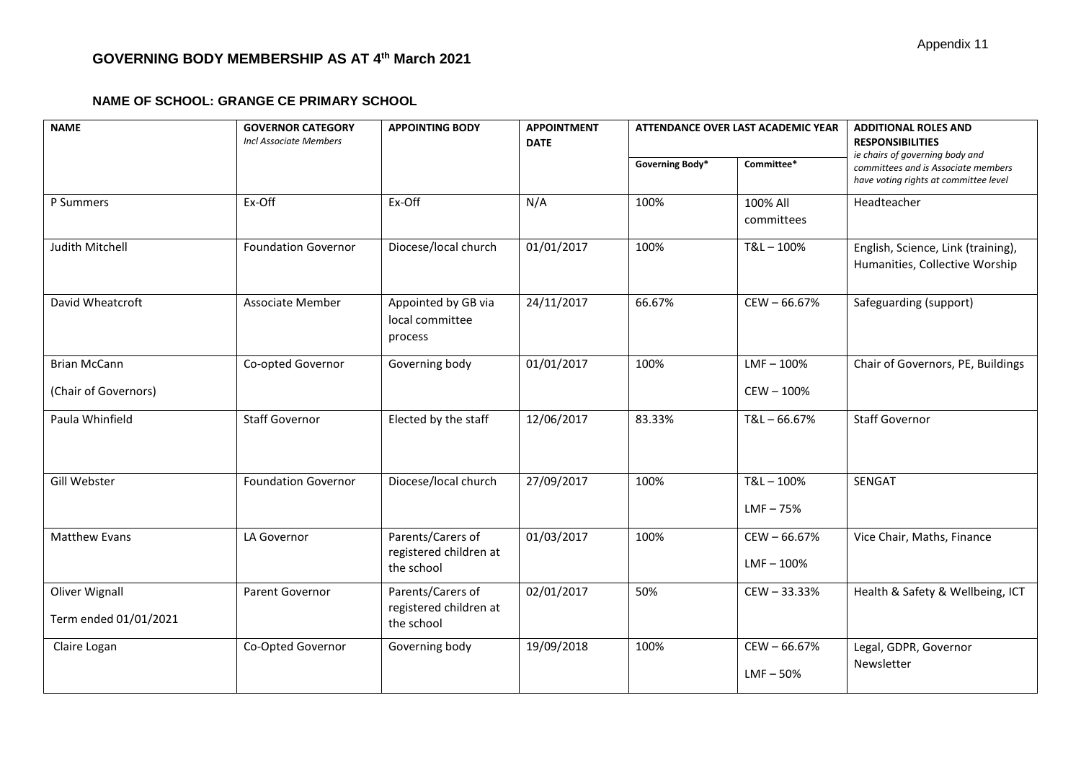## **GOVERNING BODY MEMBERSHIP AS AT 4 th March 2021**

## **NAME OF SCHOOL: GRANGE CE PRIMARY SCHOOL**

| <b>NAME</b>                             | <b>GOVERNOR CATEGORY</b><br><b>Incl Associate Members</b> | <b>APPOINTING BODY</b>                                    | <b>APPOINTMENT</b><br><b>DATE</b> | ATTENDANCE OVER LAST ACADEMIC YEAR |                            | <b>ADDITIONAL ROLES AND</b><br><b>RESPONSIBILITIES</b>                                                          |
|-----------------------------------------|-----------------------------------------------------------|-----------------------------------------------------------|-----------------------------------|------------------------------------|----------------------------|-----------------------------------------------------------------------------------------------------------------|
|                                         |                                                           |                                                           |                                   | Governing Body*                    | Committee*                 | ie chairs of governing body and<br>committees and is Associate members<br>have voting rights at committee level |
| P Summers                               | Ex-Off                                                    | Ex-Off                                                    | N/A                               | 100%                               | 100% All<br>committees     | Headteacher                                                                                                     |
| Judith Mitchell                         | <b>Foundation Governor</b>                                | Diocese/local church                                      | 01/01/2017                        | 100%                               | T&L-100%                   | English, Science, Link (training),<br>Humanities, Collective Worship                                            |
| David Wheatcroft                        | <b>Associate Member</b>                                   | Appointed by GB via<br>local committee<br>process         | 24/11/2017                        | 66.67%                             | CEW-66.67%                 | Safeguarding (support)                                                                                          |
| <b>Brian McCann</b>                     | Co-opted Governor                                         | Governing body                                            | 01/01/2017                        | 100%                               | $LMF - 100%$               | Chair of Governors, PE, Buildings                                                                               |
| (Chair of Governors)                    |                                                           |                                                           |                                   |                                    | CEW-100%                   |                                                                                                                 |
| Paula Whinfield                         | <b>Staff Governor</b>                                     | Elected by the staff                                      | 12/06/2017                        | 83.33%                             | T&L-66.67%                 | <b>Staff Governor</b>                                                                                           |
| Gill Webster                            | <b>Foundation Governor</b>                                | Diocese/local church                                      | 27/09/2017                        | 100%                               | T&L-100%<br>$LMF - 75%$    | SENGAT                                                                                                          |
| <b>Matthew Evans</b>                    | LA Governor                                               | Parents/Carers of<br>registered children at<br>the school | 01/03/2017                        | 100%                               | CEW-66.67%<br>$LMF - 100%$ | Vice Chair, Maths, Finance                                                                                      |
| Oliver Wignall<br>Term ended 01/01/2021 | Parent Governor                                           | Parents/Carers of<br>registered children at<br>the school | 02/01/2017                        | 50%                                | CEW-33.33%                 | Health & Safety & Wellbeing, ICT                                                                                |
| Claire Logan                            | Co-Opted Governor                                         | Governing body                                            | 19/09/2018                        | 100%                               | CEW-66.67%<br>$LMF - 50%$  | Legal, GDPR, Governor<br>Newsletter                                                                             |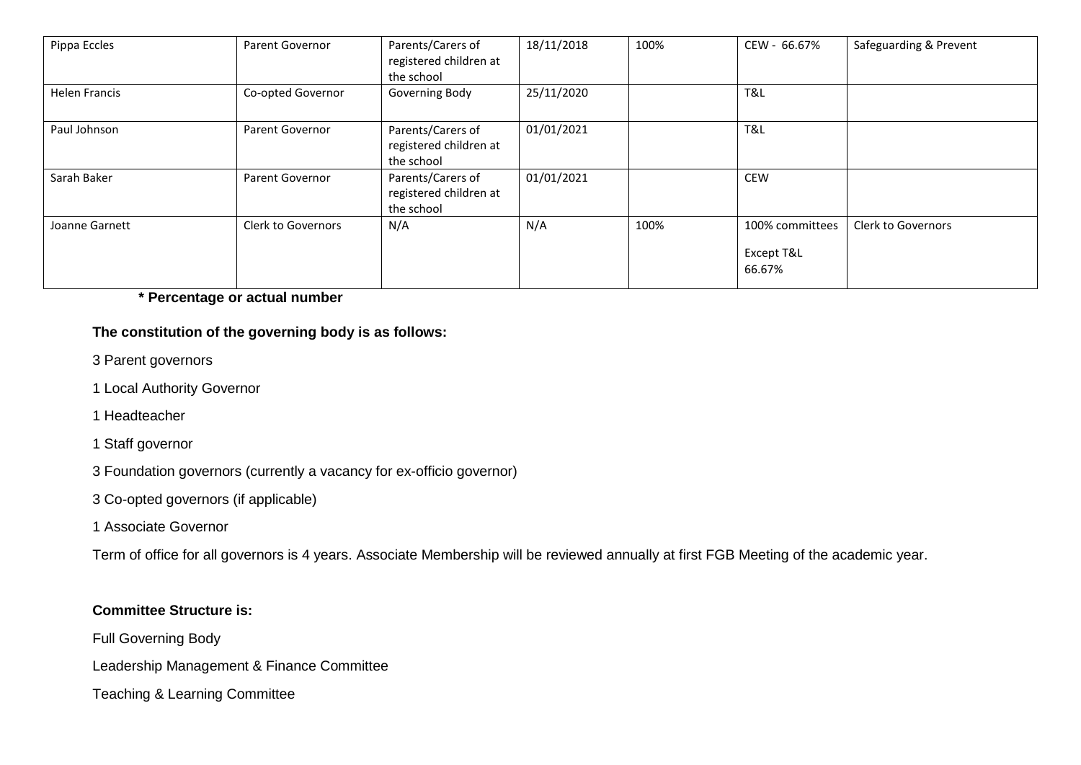| Pippa Eccles   | <b>Parent Governor</b> | Parents/Carers of<br>registered children at<br>the school | 18/11/2018 | 100% | CEW - 66.67%                            | Safeguarding & Prevent |
|----------------|------------------------|-----------------------------------------------------------|------------|------|-----------------------------------------|------------------------|
| Helen Francis  | Co-opted Governor      | Governing Body                                            | 25/11/2020 |      | T&L                                     |                        |
| Paul Johnson   | <b>Parent Governor</b> | Parents/Carers of<br>registered children at<br>the school | 01/01/2021 |      | T&L                                     |                        |
| Sarah Baker    | <b>Parent Governor</b> | Parents/Carers of<br>registered children at<br>the school | 01/01/2021 |      | <b>CEW</b>                              |                        |
| Joanne Garnett | Clerk to Governors     | N/A                                                       | N/A        | 100% | 100% committees<br>Except T&L<br>66.67% | Clerk to Governors     |

**\* Percentage or actual number**

## **The constitution of the governing body is as follows:**

- 3 Parent governors
- 1 Local Authority Governor
- 1 Headteacher
- 1 Staff governor
- 3 Foundation governors (currently a vacancy for ex-officio governor)
- 3 Co-opted governors (if applicable)
- 1 Associate Governor

Term of office for all governors is 4 years. Associate Membership will be reviewed annually at first FGB Meeting of the academic year.

## **Committee Structure is:**

Full Governing Body

- Leadership Management & Finance Committee
- Teaching & Learning Committee